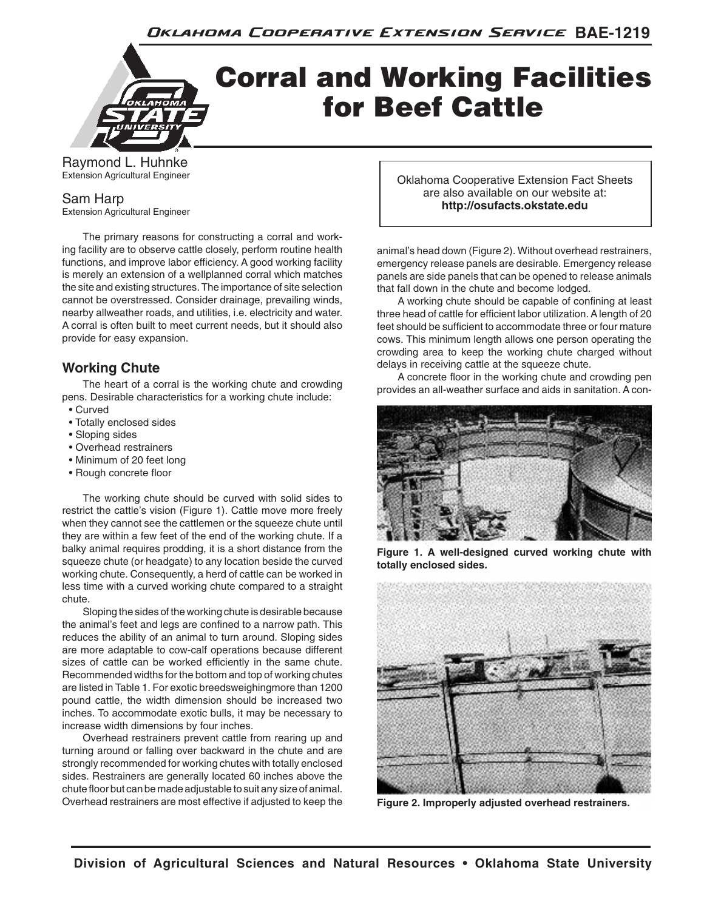Oklahoma Cooperative Extension Service BAE-1219

# Corral and Working Facilities for Beef Cattle

Raymond L. Huhnke Extension Agricultural Engineer

Sam Harp

Extension Agricultural Engineer

The primary reasons for constructing a corral and working facility are to observe cattle closely, perform routine health functions, and improve labor efficiency. A good working facility is merely an extension of a wellplanned corral which matches the site and existing structures. The importance of site selection cannot be overstressed. Consider drainage, prevailing winds, nearby allweather roads, and utilities, i.e. electricity and water. A corral is often built to meet current needs, but it should also provide for easy expansion.

# **Working Chute**

The heart of a corral is the working chute and crowding pens. Desirable characteristics for a working chute include: • Curved

- Totally enclosed sides
- Sloping sides
- Overhead restrainers
- Minimum of 20 feet long
- Rough concrete floor

The working chute should be curved with solid sides to restrict the cattle's vision (Figure 1). Cattle move more freely when they cannot see the cattlemen or the squeeze chute until they are within a few feet of the end of the working chute. If a balky animal requires prodding, it is a short distance from the squeeze chute (or headgate) to any location beside the curved working chute. Consequently, a herd of cattle can be worked in less time with a curved working chute compared to a straight chute.

Sloping the sides of the working chute is desirable because the animal's feet and legs are confined to a narrow path. This reduces the ability of an animal to turn around. Sloping sides are more adaptable to cow-calf operations because different sizes of cattle can be worked efficiently in the same chute. Recommended widths for the bottom and top of working chutes are listed in Table 1. For exotic breedsweighingmore than 1200 pound cattle, the width dimension should be increased two inches. To accommodate exotic bulls, it may be necessary to increase width dimensions by four inches.

Overhead restrainers prevent cattle from rearing up and turning around or falling over backward in the chute and are strongly recommended for working chutes with totally enclosed sides. Restrainers are generally located 60 inches above the chute floor but can be made adjustable to suit any size of animal. Overhead restrainers are most effective if adjusted to keep the

Oklahoma Cooperative Extension Fact Sheets are also available on our website at: **http://osufacts.okstate.edu**

animal's head down (Figure 2). Without overhead restrainers, emergency release panels are desirable. Emergency release panels are side panels that can be opened to release animals that fall down in the chute and become lodged.

A working chute should be capable of confining at least three head of cattle for efficient labor utilization. A length of 20 feet should be sufficient to accommodate three or four mature cows. This minimum length allows one person operating the crowding area to keep the working chute charged without delays in receiving cattle at the squeeze chute.

A concrete floor in the working chute and crowding pen provides an all-weather surface and aids in sanitation. A con-



**Figure 1. A well-designed curved working chute with totally enclosed sides.**



**Figure 2. Improperly adjusted overhead restrainers.**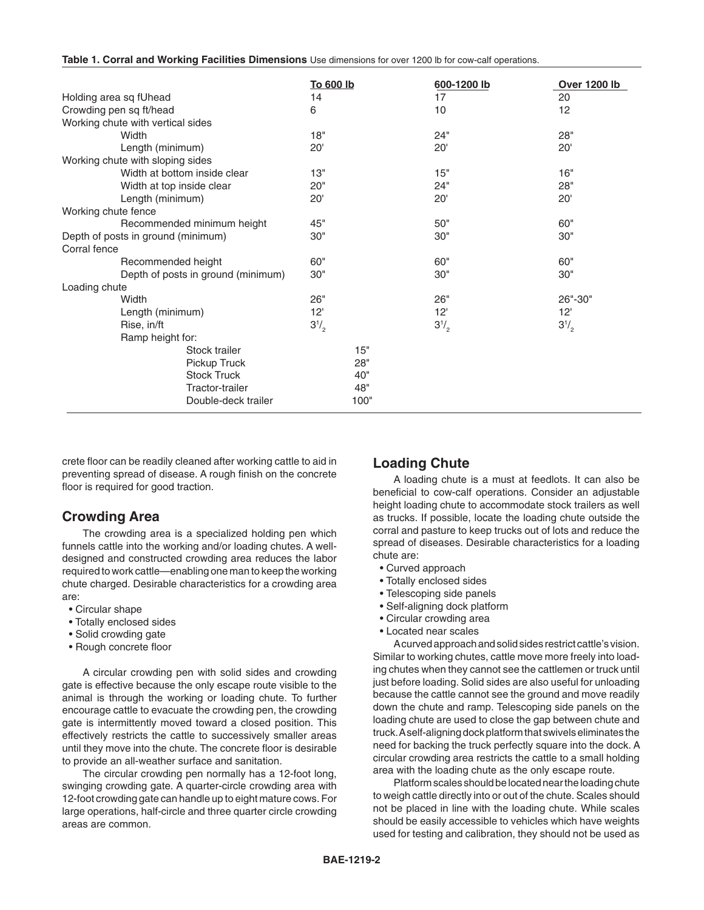|  | Table 1. Corral and Working Facilities Dimensions Use dimensions for over 1200 lb for cow-calf operations. |
|--|------------------------------------------------------------------------------------------------------------|
|--|------------------------------------------------------------------------------------------------------------|

|                                    |                     | <b>To 600 lb</b> |      | 600-1200 lb |  | <b>Over 1200 lb</b> |
|------------------------------------|---------------------|------------------|------|-------------|--|---------------------|
| Holding area sq fUhead             |                     | 14               |      | 17          |  | 20                  |
| Crowding pen sq ft/head            |                     | 6                |      | 10          |  | 12                  |
| Working chute with vertical sides  |                     |                  |      |             |  |                     |
| Width                              |                     | 18"              |      | 24"         |  | 28"                 |
| Length (minimum)                   |                     | 20 <sup>1</sup>  |      | 20'         |  | 20'                 |
| Working chute with sloping sides   |                     |                  |      |             |  |                     |
| Width at bottom inside clear       |                     | 13"              |      | 15"         |  | 16"                 |
| Width at top inside clear          |                     | 20"              |      | 24"         |  | 28"                 |
| Length (minimum)                   |                     | 20'              |      | 20'         |  | 20'                 |
| Working chute fence                |                     |                  |      |             |  |                     |
| Recommended minimum height         |                     | 45"              |      | 50"         |  | 60"                 |
| Depth of posts in ground (minimum) |                     | 30"              |      | 30"         |  | 30"                 |
| Corral fence                       |                     |                  |      |             |  |                     |
| Recommended height                 |                     | 60"              |      | 60"         |  | 60"                 |
| Depth of posts in ground (minimum) |                     | 30"              |      | 30"         |  | 30"                 |
| Loading chute                      |                     |                  |      |             |  |                     |
| Width                              |                     | 26"              |      | 26"         |  | 26"-30"             |
| Length (minimum)                   |                     | 12'              |      | 12'         |  | 12 <sup>1</sup>     |
| Rise, in/ft                        |                     | $3^{1/2}$        |      | $3^{1/2}$   |  | $3^{1/2}$           |
| Ramp height for:                   |                     |                  |      |             |  |                     |
|                                    | Stock trailer       |                  | 15"  |             |  |                     |
|                                    | Pickup Truck        |                  | 28"  |             |  |                     |
|                                    | <b>Stock Truck</b>  |                  | 40"  |             |  |                     |
|                                    | Tractor-trailer     |                  | 48"  |             |  |                     |
|                                    | Double-deck trailer |                  | 100" |             |  |                     |

crete floor can be readily cleaned after working cattle to aid in preventing spread of disease. A rough finish on the concrete floor is required for good traction.

# **Crowding Area**

The crowding area is a specialized holding pen which funnels cattle into the working and/or loading chutes. A welldesigned and constructed crowding area reduces the labor required to work cattle—enabling one man to keep the working chute charged. Desirable characteristics for a crowding area are:

- Circular shape
- Totally enclosed sides
- Solid crowding gate
- Rough concrete floor

A circular crowding pen with solid sides and crowding gate is effective because the only escape route visible to the animal is through the working or loading chute. To further encourage cattle to evacuate the crowding pen, the crowding gate is intermittently moved toward a closed position. This effectively restricts the cattle to successively smaller areas until they move into the chute. The concrete floor is desirable to provide an all-weather surface and sanitation.

The circular crowding pen normally has a 12-foot long, swinging crowding gate. A quarter-circle crowding area with 12-foot crowding gate can handle up to eight mature cows. For large operations, half-circle and three quarter circle crowding areas are common.

# **Loading Chute**

A loading chute is a must at feedlots. It can also be beneficial to cow-calf operations. Consider an adjustable height loading chute to accommodate stock trailers as well as trucks. If possible, locate the loading chute outside the corral and pasture to keep trucks out of lots and reduce the spread of diseases. Desirable characteristics for a loading chute are:

- Curved approach
- Totally enclosed sides
- Telescoping side panels
- Self-aligning dock platform
- Circular crowding area
- Located near scales

A curved approach and solid sides restrict cattle's vision. Similar to working chutes, cattle move more freely into loading chutes when they cannot see the cattlemen or truck until just before loading. Solid sides are also useful for unloading because the cattle cannot see the ground and move readily down the chute and ramp. Telescoping side panels on the loading chute are used to close the gap between chute and truck. A self-aligning dock platform that swivels eliminates the need for backing the truck perfectly square into the dock. A circular crowding area restricts the cattle to a small holding area with the loading chute as the only escape route.

Platform scales should be located near the loading chute to weigh cattle directly into or out of the chute. Scales should not be placed in line with the loading chute. While scales should be easily accessible to vehicles which have weights used for testing and calibration, they should not be used as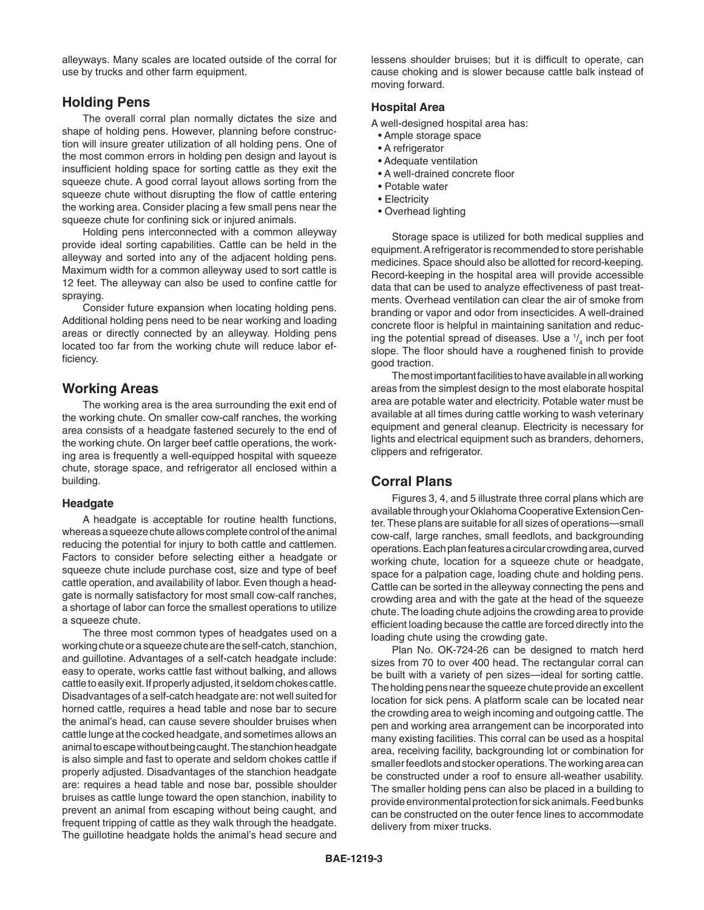alleyways. Many scales are located outside of the corral for use by trucks and other farm equipment.

### **Holding Pens**

The overall corral plan normally dictates the size and shape of holding pens. However, planning before construction will insure greater utilization of all holding pens. One of the most common errors in holding pen design and layout is insufficient holding space for sorting cattle as they exit the squeeze chute. A good corral layout allows sorting from the squeeze chute without disrupting the flow of cattle entering the working area. Consider placing a few small pens near the squeeze chute for confining sick or injured animals.

Holding pens interconnected with a common alleyway provide ideal sorting capabilities. Cattle can be held in the alleyway and sorted into any of the adjacent holding pens. Maximum width for a common alleyway used to sort cattle is 12 feet. The alleyway can also be used to confine cattle for spraying.

Consider future expansion when locating holding pens. Additional holding pens need to be near working and loading areas or directly connected by an alleyway. Holding pens located too far from the working chute will reduce labor efficiency.

## **Working Areas**

The working area is the area surrounding the exit end of the working chute. On smaller cow-calf ranches, the working area consists of a headgate fastened securely to the end of the working chute. On larger beef cattle operations, the working area is frequently a well-equipped hospital with squeeze chute, storage space, and refrigerator all enclosed within a building.

#### **Headgate**

A headgate is acceptable for routine health functions, whereas a squeeze chute allows complete control of the animal reducing the potential for injury to both cattle and cattlemen. Factors to consider before selecting either a headgate or squeeze chute include purchase cost, size and type of beef cattle operation, and availability of labor. Even though a headgate is normally satisfactory for most small cow-calf ranches, a shortage of labor can force the smallest operations to utilize a squeeze chute.

The three most common types of headgates used on a working chute or a squeeze chute are the self-catch, stanchion, and guillotine. Advantages of a self-catch headgate include: easy to operate, works cattle fast without balking, and allows cattle to easily exit. If properly adjusted, it seldom chokes cattle. Disadvantages of a self-catch headgate are: not well suited for horned cattle, requires a head table and nose bar to secure the animal's head, can cause severe shoulder bruises when cattle lunge at the cocked headgate, and sometimes allows an animal to escape without being caught. The stanchion headgate is also simple and fast to operate and seldom chokes cattle if properly adjusted. Disadvantages of the stanchion headgate are: requires a head table and nose bar, possible shoulder bruises as cattle lunge toward the open stanchion, inability to prevent an animal from escaping without being caught, and frequent tripping of cattle as they walk through the headgate. The guillotine headgate holds the animal's head secure and lessens shoulder bruises; but it is difficult to operate, can cause choking and is slower because cattle balk instead of moving forward.

#### **Hospital Area**

A well-designed hospital area has:

- Ample storage space
- A refrigerator
- Adequate ventilation
- A well-drained concrete floor
- Potable water
- Electricity
- Overhead lighting

Storage space is utilized for both medical supplies and equipment. A refrigerator is recommended to store perishable medicines. Space should also be allotted for record-keeping. Record-keeping in the hospital area will provide accessible data that can be used to analyze effectiveness of past treatments. Overhead ventilation can clear the air of smoke from branding or vapor and odor from insecticides. A well-drained concrete floor is helpful in maintaining sanitation and reducing the potential spread of diseases. Use a  $\frac{1}{4}$  inch per foot slope. The floor should have a roughened finish to provide good traction.

The most important facilities to have available in all working areas from the simplest design to the most elaborate hospital area are potable water and electricity. Potable water must be available at all times during cattle working to wash veterinary equipment and general cleanup. Electricity is necessary for lights and electrical equipment such as branders, dehorners, clippers and refrigerator.

# **Corral Plans**

Figures 3, 4, and 5 illustrate three corral plans which are available through your Oklahoma Cooperative Extension Center. These plans are suitable for all sizes of operations—small cow-calf, large ranches, small feedlots, and backgrounding operations. Each plan features a circular crowding area, curved working chute, location for a squeeze chute or headgate, space for a palpation cage, loading chute and holding pens. Cattle can be sorted in the alleyway connecting the pens and crowding area and with the gate at the head of the squeeze chute. The loading chute adjoins the crowding area to provide efficient loading because the cattle are forced directly into the loading chute using the crowding gate.

Plan No. OK-724-26 can be designed to match herd sizes from 70 to over 400 head. The rectangular corral can be built with a variety of pen sizes—ideal for sorting cattle. The holding pens near the squeeze chute provide an excellent location for sick pens. A platform scale can be located near the crowding area to weigh incoming and outgoing cattle. The pen and working area arrangement can be incorporated into many existing facilities. This corral can be used as a hospital area, receiving facility, backgrounding lot or combination for smaller feedlots and stocker operations. The working area can be constructed under a roof to ensure all-weather usability. The smaller holding pens can also be placed in a building to provide environmental protection for sick animals. Feed bunks can be constructed on the outer fence lines to accommodate delivery from mixer trucks.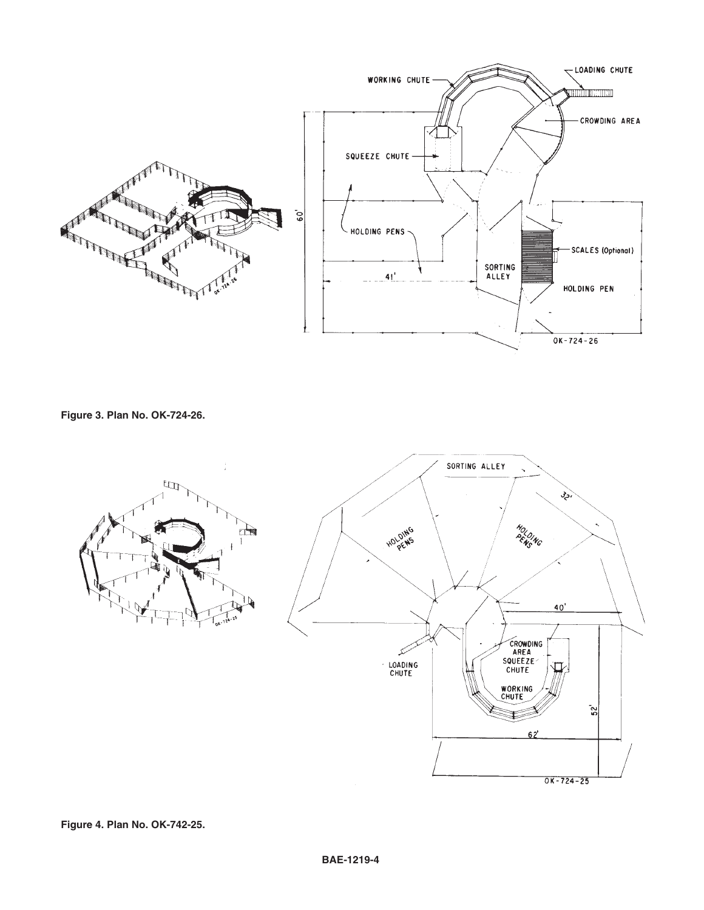

**Figure 3. Plan No. OK-724-26.**

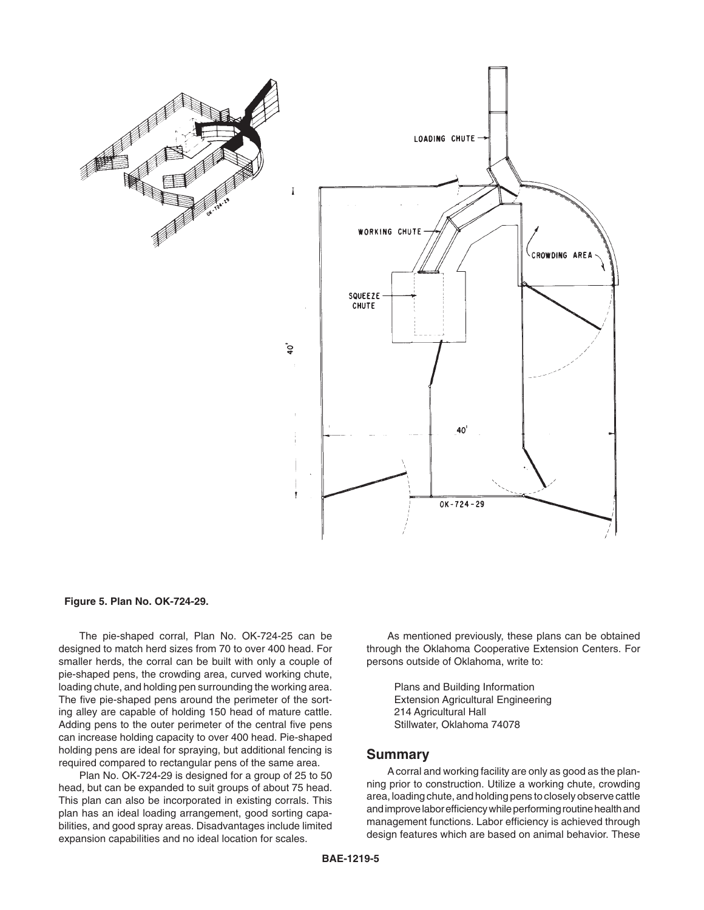

#### **Figure 5. Plan No. OK-724-29.**

The pie-shaped corral, Plan No. OK-724-25 can be designed to match herd sizes from 70 to over 400 head. For smaller herds, the corral can be built with only a couple of pie-shaped pens, the crowding area, curved working chute, loading chute, and holding pen surrounding the working area. The five pie-shaped pens around the perimeter of the sorting alley are capable of holding 150 head of mature cattle. Adding pens to the outer perimeter of the central five pens can increase holding capacity to over 400 head. Pie-shaped holding pens are ideal for spraying, but additional fencing is required compared to rectangular pens of the same area.

Plan No. OK-724-29 is designed for a group of 25 to 50 head, but can be expanded to suit groups of about 75 head. This plan can also be incorporated in existing corrals. This plan has an ideal loading arrangement, good sorting capabilities, and good spray areas. Disadvantages include limited expansion capabilities and no ideal location for scales.

As mentioned previously, these plans can be obtained through the Oklahoma Cooperative Extension Centers. For persons outside of Oklahoma, write to:

> Plans and Building Information Extension Agricultural Engineering 214 Agricultural Hall Stillwater, Oklahoma 74078

#### **Summary**

A corral and working facility are only as good as the planning prior to construction. Utilize a working chute, crowding area, loading chute, and holding pens to closely observe cattle and improve labor efficiency while performing routine health and management functions. Labor efficiency is achieved through design features which are based on animal behavior. These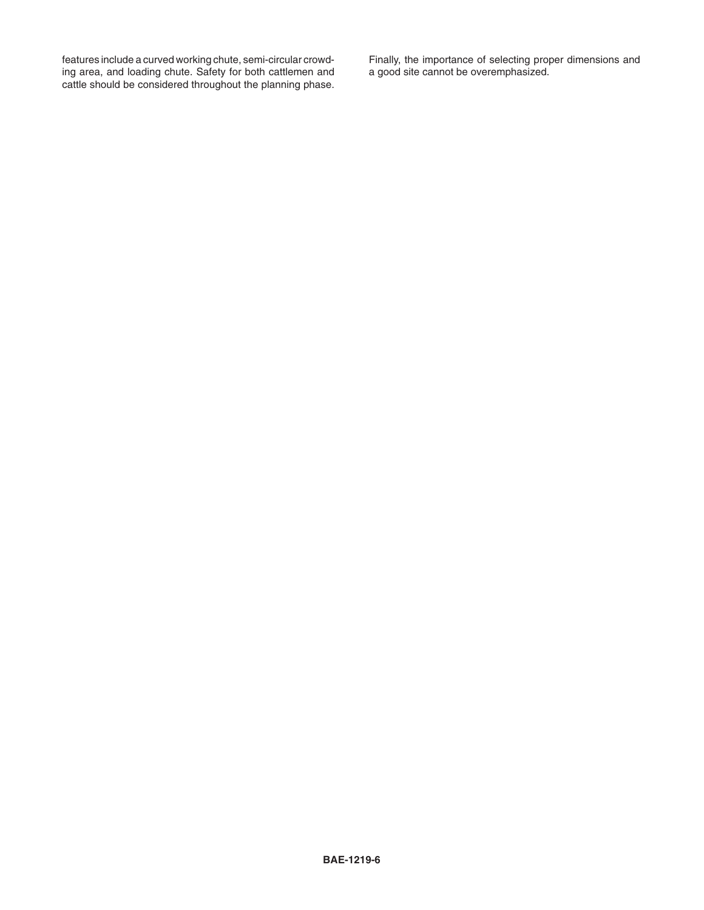features include a curved working chute, semi-circular crowding area, and loading chute. Safety for both cattlemen and cattle should be considered throughout the planning phase. Finally, the importance of selecting proper dimensions and a good site cannot be overemphasized.